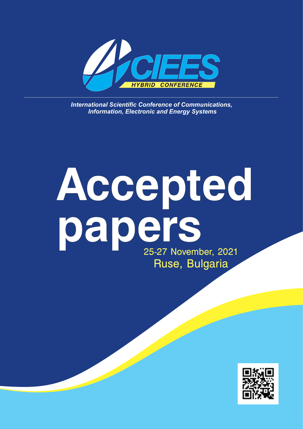

**International Scientific Conference of Communications,**  *Information, Electronic and Energy Systems*

# **Accepted papers** 25-27 November, 2021 Ruse, Bulgaria

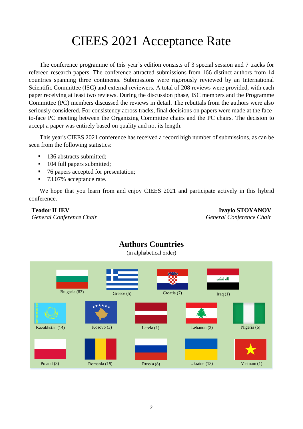# CIEES 2021 Acceptance Rate

The conference programme of this year's edition consists of 3 special session and 7 tracks for refereed research papers. The conference attracted submissions from 166 distinct authors from 14 countries spanning three continents. Submissions were rigorously reviewed by an International Scientific Committee (ISC) and external reviewers. A total of 208 reviews were provided, with each paper receiving at least two reviews. During the discussion phase, ISC members and the Programme Committee (PC) members discussed the reviews in detail. The rebuttals from the authors were also seriously considered. For consistency across tracks, final decisions on papers were made at the faceto-face PC meeting between the Organizing Committee chairs and the PC chairs. The decision to accept a paper was entirely based on quality and not its length.

This year's CIEES 2021 conference has received a record high number of submissions, as can be seen from the following statistics:

- 136 abstracts submitted;
- 104 full papers submitted;
- 76 papers accepted for presentation;
- 73.07% acceptance rate.

We hope that you learn from and enjoy CIEES 2021 and participate actively in this hybrid conference.

#### **Teodor ILIEV**

*General Conference Chair*

**Ivaylo STOYANOV** *General Conference Chair*



#### **Authors Countries** (in alphabetical order)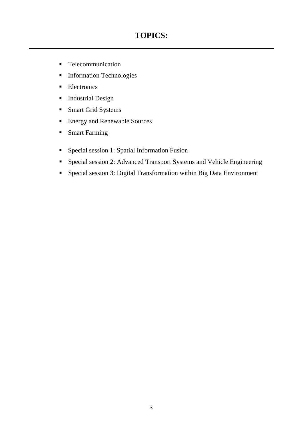## **TOPICS:**

- Telecommunication
- **Information Technologies**
- **Electronics**
- **Industrial Design**
- **Smart Grid Systems**
- Energy and Renewable Sources
- **Smart Farming**
- Special session 1: Spatial Information Fusion
- Special session 2: Advanced Transport Systems and Vehicle Engineering
- Special session 3: Digital Transformation within Big Data Environment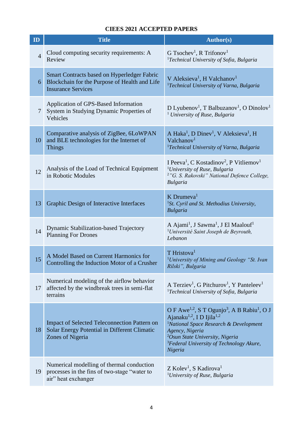| ID             | <b>Title</b>                                                                                                                     | <b>Author(s)</b>                                                                                                                                                                                                                                                                                                               |
|----------------|----------------------------------------------------------------------------------------------------------------------------------|--------------------------------------------------------------------------------------------------------------------------------------------------------------------------------------------------------------------------------------------------------------------------------------------------------------------------------|
| $\overline{4}$ | Cloud computing security requirements: A<br>Review                                                                               | G Tsochev <sup>1</sup> , R Trifonov <sup>1</sup><br><sup>1</sup> Technical University of Sofia, Bulgaria                                                                                                                                                                                                                       |
| 6              | <b>Smart Contracts based on Hyperledger Fabric</b><br>Blockchain for the Purpose of Health and Life<br><b>Insurance Services</b> | V Aleksieva <sup>1</sup> , H Valchanov <sup>1</sup><br><sup>1</sup> Technical University of Varna, Bulgaria                                                                                                                                                                                                                    |
| 7              | Application of GPS-Based Information<br>System in Studying Dynamic Properties of<br>Vehicles                                     | D Lyubenov <sup>1</sup> , T Balbuzanov <sup>1</sup> , O Dinolov <sup>1</sup><br><sup>1</sup> University of Ruse, Bulgaria                                                                                                                                                                                                      |
| 10             | Comparative analysis of ZigBee, 6LoWPAN<br>and BLE technologies for the Internet of<br><b>Things</b>                             | A Haka <sup>1</sup> , D Dinev <sup>1</sup> , V Aleksieva <sup>1</sup> , H<br>Valchanov <sup>1</sup><br><sup>1</sup> Technical University of Varna, Bulgaria                                                                                                                                                                    |
| 12             | Analysis of the Load of Technical Equipment<br>in Robotic Modules                                                                | I Peeva <sup>1</sup> , C Kostadinov <sup>2</sup> , P Vitliemov <sup>1</sup><br><sup>1</sup> University of Ruse, Bulgaria<br><sup>2</sup> "G. S. Rakovski" National Defence College,<br><b>Bulgaria</b>                                                                                                                         |
| 13             | Graphic Design of Interactive Interfaces                                                                                         | $K$ Drumeva <sup>1</sup><br><sup>1</sup> St. Cyril and St. Methodius University,<br><b>Bulgaria</b>                                                                                                                                                                                                                            |
| 14             | Dynamic Stabilization-based Trajectory<br><b>Planning For Drones</b>                                                             | A Ajami <sup>1</sup> , J Sawma <sup>1</sup> , J El Maalouf <sup>1</sup><br><sup>1</sup> Université Saint Joseph de Beyrouth,<br>Lebanon                                                                                                                                                                                        |
| 15             | A Model Based on Current Harmonics for<br>Controlling the Induction Motor of a Crusher                                           | T Hristova <sup>1</sup><br><sup>1</sup> University of Mining and Geology "St. Ivan<br>Rilski", Bulgaria                                                                                                                                                                                                                        |
| 17             | Numerical modeling of the airflow behavior<br>affected by the windbreak trees in semi-flat<br>terrains                           | A Terziev <sup>1</sup> , G Pitchurov <sup>1</sup> , Y Panteleev <sup>1</sup><br><sup>1</sup> Technical University of Sofia, Bulgaria                                                                                                                                                                                           |
| 18             | <b>Impact of Selected Teleconnection Pattern on</b><br>Solar Energy Potential in Different Climatic<br>Zones of Nigeria          | O F Awe <sup>1,2</sup> , S T Ogunjo <sup>3</sup> , A B Rabiu <sup>1</sup> , O J<br>Ajanaku <sup>1,2</sup> , ID Ijila <sup>1,2</sup><br><sup>1</sup> National Space Research & Development<br>Agency, Nigeria<br><sup>2</sup> Osun State University, Nigeria<br><sup>3</sup> Federal University of Technology Akure,<br>Nigeria |
| 19             | Numerical modelling of thermal conduction<br>processes in the fins of two-stage "water to<br>air" heat exchanger                 | Z Kolev <sup>1</sup> , S Kadirova <sup>1</sup><br><sup>1</sup> University of Ruse, Bulgaria                                                                                                                                                                                                                                    |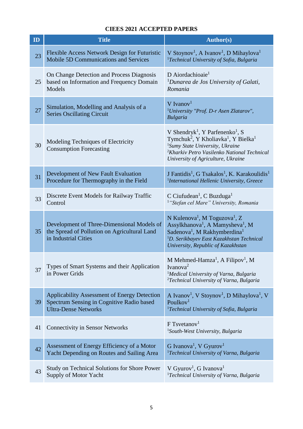| ID | <b>Title</b>                                                                                                             | <b>Author(s)</b>                                                                                                                                                                                                                                                               |
|----|--------------------------------------------------------------------------------------------------------------------------|--------------------------------------------------------------------------------------------------------------------------------------------------------------------------------------------------------------------------------------------------------------------------------|
| 23 | Flexible Access Network Design for Futuristic<br><b>Mobile 5D Communications and Services</b>                            | V Stoynov <sup>1</sup> , A Ivanov <sup>1</sup> , D Mihaylova <sup>1</sup><br><sup>1</sup> Technical University of Sofia, Bulgaria                                                                                                                                              |
| 25 | On Change Detection and Process Diagnosis<br>based on Information and Frequency Domain<br>Models                         | D Aiordachioaie <sup>1</sup><br><sup>1</sup> Dunarea de Jos University of Galati,<br>Romania                                                                                                                                                                                   |
| 27 | Simulation, Modelling and Analysis of a<br><b>Series Oscillating Circuit</b>                                             | $V$ Ivanov <sup>1</sup><br><sup>1</sup> University "Prof. D-r Asen Zlatarov",<br><b>Bulgaria</b>                                                                                                                                                                               |
| 30 | Modeling Techniques of Electricity<br><b>Consumption Forecasting</b>                                                     | V Shendryk <sup>1</sup> , Y Parfenenko <sup>1</sup> , S<br>Tymchuk <sup>2</sup> , Y Kholiavka <sup>1</sup> , Y Bielka <sup>1</sup><br>${}^{1}$ Sumy State University, Ukraine<br><sup>2</sup> Kharkiv Petro Vasilenko National Technical<br>University of Agriculture, Ukraine |
| 31 | Development of New Fault Evaluation<br>Procedure for Thermography in the Field                                           | J Fantidis <sup>1</sup> , G Tsakalos <sup>1</sup> , K. Karakoulidis <sup>1</sup><br><sup>1</sup> International Hellenic University, Greece                                                                                                                                     |
| 33 | Discrete Event Models for Railway Traffic<br>Control                                                                     | C Ciufudean <sup>1</sup> , C Buzduga <sup>1</sup><br><sup>1</sup> "Stefan cel Mare" University, Romania                                                                                                                                                                        |
| 35 | Development of Three-Dimensional Models of<br>the Spread of Pollution on Agricultural Land<br>in Industrial Cities       | N Kulenova <sup>1</sup> , M Toguzova <sup>1</sup> , Z<br>Assylkhanova <sup>1</sup> , A Mamysheva <sup>1</sup> , M<br>Sadenova <sup>1</sup> , M Rakhymberdina <sup>1</sup><br><sup>1</sup> D. Serikbayev East Kazakhstan Technical<br>University, Republic of Kazakhstan        |
| 37 | Types of Smart Systems and their Application<br>in Power Grids                                                           | M Mehmed-Hamza <sup>1</sup> , A Filipov <sup>1</sup> , M<br>Ivanova <sup>2</sup><br><sup>1</sup> Medical University of Varna, Bulgaria<br><sup>2</sup> Technical University of Varna, Bulgaria                                                                                 |
| 39 | Applicability Assessment of Energy Detection<br>Spectrum Sensing in Cognitive Radio based<br><b>Ultra-Dense Networks</b> | A Ivanov <sup>1</sup> , V Stoynov <sup>1</sup> , D Mihaylova <sup>1</sup> , V<br>Poulkov <sup>1</sup><br><sup>1</sup> Technical University of Sofia, Bulgaria                                                                                                                  |
| 41 | <b>Connectivity in Sensor Networks</b>                                                                                   | $F$ Tsvetanov <sup>1</sup><br><sup>1</sup> South-West University, Bulgaria                                                                                                                                                                                                     |
| 42 | Assessment of Energy Efficiency of a Motor<br>Yacht Depending on Routes and Sailing Area                                 | G Ivanova <sup>1</sup> , V Gyurov <sup>1</sup><br><sup>1</sup> Technical University of Varna, Bulgaria                                                                                                                                                                         |
| 43 | Study on Technical Solutions for Shore Power<br>Supply of Motor Yacht                                                    | V Gyurov <sup>1</sup> , G Ivanova <sup>1</sup><br><sup>1</sup> Technical University of Varna, Bulgaria                                                                                                                                                                         |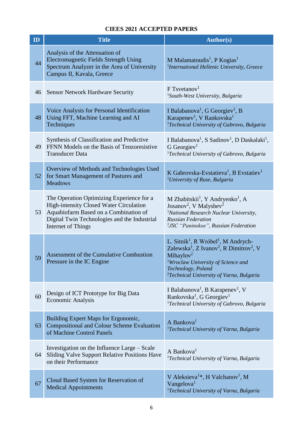| ID | <b>Title</b>                                                                                                                                                                                               | <b>Author(s)</b>                                                                                                                                                                                                                                                                                    |
|----|------------------------------------------------------------------------------------------------------------------------------------------------------------------------------------------------------------|-----------------------------------------------------------------------------------------------------------------------------------------------------------------------------------------------------------------------------------------------------------------------------------------------------|
| 44 | Analysis of the Attenuation of<br><b>Electromagnetic Fields Strength Using</b><br>Spectrum Analyzer in the Area of University<br>Campus II, Kavala, Greece                                                 | M Malamatoudis <sup>1</sup> , P Kogias <sup>1</sup><br><sup>1</sup> International Hellenic University, Greece                                                                                                                                                                                       |
| 46 | <b>Sensor Network Hardware Security</b>                                                                                                                                                                    | $F$ Tsvetanov <sup>1</sup><br><sup>1</sup> South-West University, Bulgaria                                                                                                                                                                                                                          |
| 48 | Voice Analysis for Personal Identification<br>Using FFT, Machine Learning and AI<br>Techniques                                                                                                             | I Balabanova <sup>1</sup> , G Georgiev <sup>1</sup> , B<br>Karapenev <sup>1</sup> , V Rankovska <sup>1</sup><br><sup>1</sup> Technical University of Gabrovo, Bulgaria                                                                                                                              |
| 49 | Synthesis of Classification and Predictive<br>FFNN Models on the Basis of Tenzoresistive<br><b>Transducer Data</b>                                                                                         | I Balabanova <sup>1</sup> , S Sadinov <sup>1</sup> , D Daskalaki <sup>1</sup> ,<br>$G$ Georgiev <sup>1</sup><br><sup>1</sup> Technical University of Gabrovo, Bulgaria                                                                                                                              |
| 52 | Overview of Methods and Technologies Used<br>for Smart Management of Pastures and<br><b>Meadows</b>                                                                                                        | K Gabrovska-Evstatieva <sup>1</sup> , B Evstatiev <sup>1</sup><br><sup>1</sup> University of Ruse, Bulgaria                                                                                                                                                                                         |
| 53 | The Operation Optimizing Experience for a<br><b>High-intensity Closed Water Circulation</b><br>Aquabiofarm Based on a Combination of<br>Digital Twin Technologies and the Industrial<br>Internet of Things | M Zhabitskii <sup>1</sup> , Y Andryenko <sup>1</sup> , A<br>Josanov <sup>2</sup> , V Malyshev <sup>2</sup><br><sup>1</sup> National Research Nuclear University,<br><b>Russian Federation</b><br><sup>2</sup> JSC "Paninskoe", Russian Federation                                                   |
| 59 | Assessment of the Cumulative Combustion<br>Pressure in the IC Engine                                                                                                                                       | L. Sitnik <sup>1</sup> , R Wróbel <sup>1</sup> , M Andrych-<br>Zalewska <sup>1</sup> , Z Ivanov <sup>2</sup> , R Dimitrov <sup>2</sup> , V<br>Mihaylov <sup>2</sup><br><sup>1</sup> Wroclaw University of Science and<br>Technology, Poland<br><sup>2</sup> Technical University of Varna, Bulgaria |
| 60 | Design of ICT Prototype for Big Data<br><b>Economic Analysis</b>                                                                                                                                           | I Balabanova <sup>1</sup> , B Karapenev <sup>1</sup> , V<br>Rankovska <sup>1</sup> , G Georgiev <sup>1</sup><br><sup>1</sup> Technical University of Gabrovo, Bulgaria                                                                                                                              |
| 63 | Building Expert Maps for Ergonomic,<br><b>Compositional and Colour Scheme Evaluation</b><br>of Machine Control Panels                                                                                      | A Bankova <sup>1</sup><br><sup>1</sup> Technical University of Varna, Bulgaria                                                                                                                                                                                                                      |
| 64 | Investigation on the Influence Large – Scale<br>Sliding Valve Support Relative Positions Have<br>on their Performance                                                                                      | A Bankova <sup>1</sup><br><sup>1</sup> Technical University of Varna, Bulgaria                                                                                                                                                                                                                      |
| 67 | Cloud Based System for Reservation of<br><b>Medical Appointments</b>                                                                                                                                       | V Aleksieva <sup>1*</sup> , H Valchanov <sup>1</sup> , M<br>Vangelova <sup>1</sup><br><sup>1</sup> Technical University of Varna, Bulgaria                                                                                                                                                          |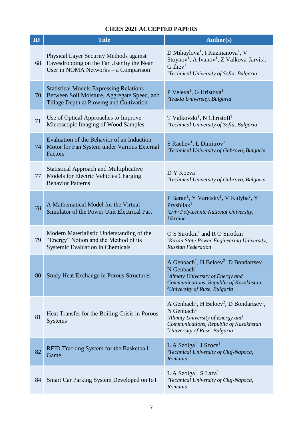| ID | <b>Title</b>                                                                                                                              | Author(s)                                                                                                                                                                                                                                       |
|----|-------------------------------------------------------------------------------------------------------------------------------------------|-------------------------------------------------------------------------------------------------------------------------------------------------------------------------------------------------------------------------------------------------|
| 68 | Physical Layer Security Methods against<br>Eavesdropping on the Far User by the Near<br>User in NOMA Networks $-$ a Comparison            | D Mihaylova <sup>1</sup> , I Kuzmanova <sup>1</sup> , V<br>Stoynov <sup>1</sup> , A Ivanov <sup>1</sup> , Z Valkova-Jarvis <sup>1</sup> ,<br>$G$ Iliev <sup>1</sup><br><sup>1</sup> Technical University of Sofia, Bulgaria                     |
| 70 | <b>Statistical Models Expressing Relations</b><br>Between Soil Moisture, Aggregate Speed, and<br>Tillage Depth at Plowing and Cultivation | P Veleva <sup>1</sup> , G Hristova <sup>1</sup><br><sup>1</sup> Trakia University, Bulgaria                                                                                                                                                     |
| 71 | Use of Optical Approaches to Improve<br>Microscopic Imaging of Wood Samples                                                               | T Valkovski <sup>1</sup> , N Christoff <sup>1</sup><br><sup>1</sup> Technical University of Sofia, Bulgaria                                                                                                                                     |
| 74 | Evaluation of the Behavior of an Induction<br>Motor for Fan System under Various External<br>Factors                                      | S Rachev <sup>1</sup> , L Dimitrov <sup>1</sup><br><sup>1</sup> Technical University of Gabrovo, Bulgaria                                                                                                                                       |
| 77 | <b>Statistical Approach and Multiplicative</b><br>Models for Electric Vehicles Charging<br><b>Behavior Patterns</b>                       | D Y Koeva <sup>1</sup><br><sup>1</sup> Technical University of Gabrovo, Bulgaria                                                                                                                                                                |
| 78 | A Mathematical Model for the Virtual<br>Simulator of the Power Unit Electrical Part                                                       | P Baran <sup>1</sup> , Y Varetsky <sup>1</sup> , V Kidyba <sup>1</sup> , Y<br>Pryshlia $k1$<br><sup>1</sup> Lviv Polytechnic National University,<br><b>Ukraine</b>                                                                             |
| 79 | Modern Materialistic Understanding of the<br>"Energy" Notion and the Method of its<br>Systemic Evaluation in Chemicals                    | O S Sirotkin <sup>1</sup> and R O Sirotkin <sup>1</sup><br><sup>1</sup> Kazan State Power Engineering University,<br><b>Russian Federation</b>                                                                                                  |
| 80 | <b>Study Heat Exchange in Porous Structures</b>                                                                                           | A Genbach <sup>1</sup> , H Beloev <sup>2</sup> , D Bondartsev <sup>1</sup><br>$N$ Genbach <sup>1</sup><br><sup>1</sup> Almaty University of Energy and<br>Communications, Republic of Kazakhstan<br><sup>2</sup> University of Ruse, Bulgaria   |
| 81 | Heat Transfer for the Boiling Crisis in Porous<br><b>Systems</b>                                                                          | A Genbach <sup>1</sup> , H Beloev <sup>2</sup> , D Bondartsev <sup>1</sup> ,<br>$N$ Genbach <sup>1</sup><br><sup>1</sup> Almaty University of Energy and<br>Communications, Republic of Kazakhstan<br><sup>2</sup> University of Ruse, Bulgaria |
| 82 | RFID Tracking System for the Basketball<br>Game                                                                                           | L A Szolga <sup>1</sup> , J Szocs <sup>1</sup><br><sup>1</sup> Technical University of Cluj-Napoca,<br>Romania                                                                                                                                  |
| 84 | Smart Car Parking System Developed on IoT                                                                                                 | L A Szolga <sup>1</sup> , S Laza <sup>1</sup><br><sup>1</sup> Technical University of Cluj-Napoca,<br>Romania                                                                                                                                   |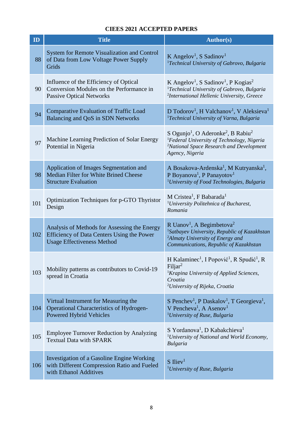| ID  | <b>Title</b>                                                                                                                           | <b>Author(s)</b>                                                                                                                                                                                                      |
|-----|----------------------------------------------------------------------------------------------------------------------------------------|-----------------------------------------------------------------------------------------------------------------------------------------------------------------------------------------------------------------------|
| 88  | <b>System for Remote Visualization and Control</b><br>of Data from Low Voltage Power Supply<br>Grids                                   | K Angelov <sup>1</sup> , S Sadinov <sup>1</sup><br><sup>1</sup> Technical University of Gabrovo, Bulgaria                                                                                                             |
| 90  | Influence of the Efficiency of Optical<br>Conversion Modules on the Performance in<br><b>Passive Optical Networks</b>                  | K Angelov <sup>1</sup> , S Sadinov <sup>1</sup> , P Kogias <sup>2</sup><br><sup>1</sup> Technical University of Gabrovo, Bulgaria<br><sup>2</sup> International Hellenic University, Greece                           |
| 94  | <b>Comparative Evaluation of Traffic Load</b><br>Balancing and QoS in SDN Networks                                                     | D Todorov <sup>1</sup> , H Valchanov <sup>1</sup> , V Aleksieva <sup>1</sup><br><sup>1</sup> Technical University of Varna, Bulgaria                                                                                  |
| 97  | Machine Learning Prediction of Solar Energy<br>Potential in Nigeria                                                                    | S Ogunjo <sup>1</sup> , O Aderonke <sup>2</sup> , B Rabiu <sup>2</sup><br><sup>1</sup> Federal University of Technology, Nigeria<br><sup>2</sup> National Space Research and Development<br>Agency, Nigeria           |
| 98  | Application of Images Segmentation and<br><b>Median Filter for White Brined Cheese</b><br><b>Structure Evaluation</b>                  | A Bosakova-Ardenska <sup>1</sup> , M Kutryanska <sup>1</sup> ,<br>P Boyanova <sup>1</sup> , P Panayotov <sup>1</sup><br><sup>1</sup> University of Food Technologies, Bulgaria                                        |
| 101 | Optimization Techniques for p-GTO Thyristor<br>Design                                                                                  | M Cristea <sup>1</sup> , F Babarada <sup>1</sup><br><sup>1</sup> University Politehnica of Bucharest,<br>Romania                                                                                                      |
| 102 | Analysis of Methods for Assessing the Energy<br><b>Efficiency of Data Centers Using the Power</b><br><b>Usage Effectiveness Method</b> | R Uanov <sup>1</sup> , A Begimbetova <sup>2</sup><br><sup>1</sup> Satbayev University, Republic of Kazakhstan<br><sup>2</sup> Almaty University of Energy and<br>Communications, Republic of Kazakhstan               |
| 103 | Mobility patterns as contributors to Covid-19<br>spread in Croatia                                                                     | H Kalaminec <sup>1</sup> , I Popović <sup>1</sup> , R Spudić <sup>1</sup> , R<br>Filjar <sup>2</sup><br><sup>1</sup> Krapina University of Applied Sciences,<br>Croatia<br><sup>2</sup> University of Rijeka, Croatia |
| 104 | Virtual Instrument for Measuring the<br><b>Operational Characteristics of Hydrogen-</b><br><b>Powered Hybrid Vehicles</b>              | S Penchev <sup>1</sup> , P Daskalov <sup>1</sup> , T Georgieva <sup>1</sup> ,<br>V Pencheva <sup>1</sup> , A Asenov <sup>1</sup><br><sup>1</sup> University of Ruse, Bulgaria                                         |
| 105 | <b>Employee Turnover Reduction by Analyzing</b><br><b>Textual Data with SPARK</b>                                                      | S Yordanova <sup>1</sup> , D Kabakchieva <sup>1</sup><br><sup>1</sup> University of National and World Economy,<br><b>Bulgaria</b>                                                                                    |
| 106 | Investigation of a Gasoline Engine Working<br>with Different Compression Ratio and Fueled<br>with Ethanol Additives                    | $S$ Iliev <sup>1</sup><br><sup>1</sup> University of Ruse, Bulgaria                                                                                                                                                   |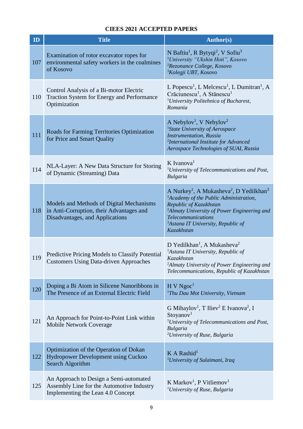| ID  | <b>Title</b>                                                                                                             | <b>Author(s)</b>                                                                                                                                                                                                                                                                                                    |
|-----|--------------------------------------------------------------------------------------------------------------------------|---------------------------------------------------------------------------------------------------------------------------------------------------------------------------------------------------------------------------------------------------------------------------------------------------------------------|
| 107 | Examination of rotor excavator ropes for<br>environmental safety workers in the coalmines<br>of Kosovo                   | N Baftiu <sup>1</sup> , R Bytyqi <sup>2</sup> , V Sofiu <sup>3</sup><br><sup>1</sup> University "Ukshin Hoti", Kosovo<br><sup>2</sup> Rezonance College, Kosovo<br><sup>3</sup> Kolegji UBT, Kosovo                                                                                                                 |
| 110 | Control Analysis of a Bi-motor Electric<br>Traction System for Energy and Performance<br>Optimization                    | L Popescu <sup>1</sup> , L Melcescu <sup>1</sup> , L Dumitran <sup>1</sup> , A<br>Crăciunescu <sup>1</sup> , A Stănescu <sup>1</sup><br><sup>1</sup> University Politehnica of Bucharest,<br>Romania                                                                                                                |
| 111 | Roads for Farming Territories Optimization<br>for Price and Smart Quality                                                | A Nebylov <sup>1</sup> , V Nebylov <sup>2</sup><br><sup>1</sup> State University of Aerospace<br><b>Instrumentation</b> , Russia<br><sup>2</sup> International Institute for Advanced<br>Aerospace Technologies of SUAI, Russia                                                                                     |
| 114 | NLA-Layer: A New Data Structure for Storing<br>of Dynamic (Streaming) Data                                               | K Ivanova <sup>1</sup><br><sup>1</sup> University of Telecommunications and Post,<br><b>Bulgaria</b>                                                                                                                                                                                                                |
| 118 | Models and Methods of Digital Mechanisms<br>in Anti-Corruption, their Advantages and<br>Disadvantages, and Applications  | A Nurkey <sup>1</sup> , A Mukasheva <sup>2</sup> , D Yedilkhan <sup>3</sup><br><sup>1</sup> Academy of the Public Administration,<br>Republic of Kazakhstan<br><sup>2</sup> Almaty University of Power Engineering and<br><b>Telecommunications</b><br><sup>3</sup> Astana IT University, Republic of<br>Kazakhstan |
| 119 | Predictive Pricing Models to Classify Potential<br><b>Customers Using Data-driven Approaches</b>                         | D Yedilkhan <sup>1</sup> , A Mukasheva <sup>2</sup><br><sup>1</sup> Astana IT University, Republic of<br>Kazakhstan<br><sup>2</sup> Almaty University of Power Engineering and<br>Telecommunications, Republic of Kazakhstan                                                                                        |
| 120 | Doping a Bi Atom in Silicene Nanoribbons in<br>The Presence of an External Electric Field                                | H V Ngoc <sup>1</sup><br><sup>1</sup> Thu Dau Mot University, Vietnam                                                                                                                                                                                                                                               |
| 121 | An Approach for Point-to-Point Link within<br><b>Mobile Network Coverage</b>                                             | G Mihaylov <sup>1</sup> , T Iliev <sup>2</sup> E Ivanova <sup>2</sup> , I<br>Stoyanov <sup>1</sup><br><sup>1</sup> University of Telecommunications and Post,<br><b>Bulgaria</b><br><sup>2</sup> University of Ruse, Bulgaria                                                                                       |
| 122 | Optimization of the Operation of Dokan<br>Hydropower Development using Cuckoo<br>Search Algorithm                        | $K A$ Rashid <sup>1</sup><br><sup>1</sup> University of Sulaimani, Iraq                                                                                                                                                                                                                                             |
| 125 | An Approach to Design a Semi-automated<br>Assembly Line for the Automotive Industry<br>Implementing the Lean 4.0 Concept | K Markov <sup>1</sup> , P Vitliemov <sup>1</sup><br><sup>1</sup> University of Ruse, Bulgaria                                                                                                                                                                                                                       |